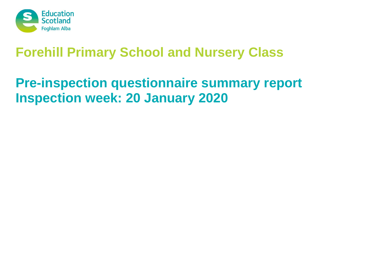

# **Pre-inspection questionnaire summary report Inspection week: 20 January 2020**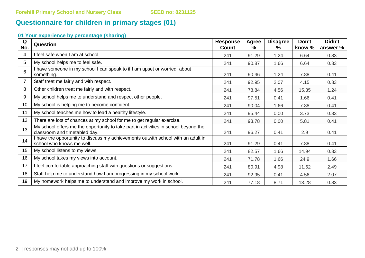# **Questionnaire for children in primary stages (01)**

| Q<br>No. | Question                                                                                                             | <b>Response</b><br>Count | Agree<br>℅ | <b>Disagree</b><br>% | Don't<br>know % | Didn't<br>answer % |
|----------|----------------------------------------------------------------------------------------------------------------------|--------------------------|------------|----------------------|-----------------|--------------------|
| 4        | I feel safe when I am at school.                                                                                     | 241                      | 91.29      | 1.24                 | 6.64            | 0.83               |
| 5        | My school helps me to feel safe.                                                                                     | 241                      | 90.87      | 1.66                 | 6.64            | 0.83               |
| 6        | I have someone in my school I can speak to if I am upset or worried about<br>something.                              | 241                      | 90.46      | 1.24                 | 7.88            | 0.41               |
|          | Staff treat me fairly and with respect.                                                                              | 241                      | 92.95      | 2.07                 | 4.15            | 0.83               |
| 8        | Other children treat me fairly and with respect.                                                                     | 241                      | 78.84      | 4.56                 | 15.35           | 1.24               |
| 9        | My school helps me to understand and respect other people.                                                           | 241                      | 97.51      | 0.41                 | 1.66            | 0.41               |
| 10       | My school is helping me to become confident.                                                                         | 241                      | 90.04      | 1.66                 | 7.88            | 0.41               |
| 11       | My school teaches me how to lead a healthy lifestyle.                                                                | 241                      | 95.44      | 0.00                 | 3.73            | 0.83               |
| 12       | There are lots of chances at my school for me to get regular exercise.                                               | 241                      | 93.78      | 0.00                 | 5.81            | 0.41               |
| 13       | My school offers me the opportunity to take part in activities in school beyond the<br>classroom and timetabled day. | 241                      | 96.27      | 0.41                 | 2.9             | 0.41               |
| 14       | I have the opportunity to discuss my achievements outwith school with an adult in<br>school who knows me well.       | 241                      | 91.29      | 0.41                 | 7.88            | 0.41               |
| 15       | My school listens to my views.                                                                                       | 241                      | 82.57      | 1.66                 | 14.94           | 0.83               |
| 16       | My school takes my views into account.                                                                               | 241                      | 71.78      | 1.66                 | 24.9            | 1.66               |
| 17       | I feel comfortable approaching staff with questions or suggestions.                                                  | 241                      | 80.91      | 4.98                 | 11.62           | 2.49               |
| 18       | Staff help me to understand how I am progressing in my school work.                                                  | 241                      | 92.95      | 0.41                 | 4.56            | 2.07               |
| 19       | My homework helps me to understand and improve my work in school.                                                    | 241                      | 77.18      | 8.71                 | 13.28           | 0.83               |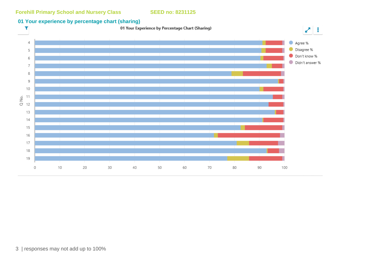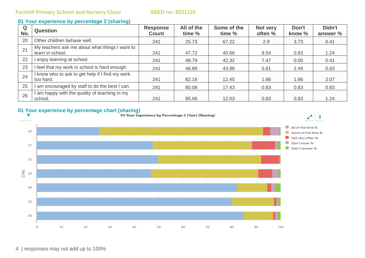| Q<br>No. | <b>Question</b>                                                    | <b>Response</b><br><b>Count</b> | All of the<br>time % | Some of the<br>time % | Not very<br>often % | Don't<br>know % | Didn't<br>answer % |
|----------|--------------------------------------------------------------------|---------------------------------|----------------------|-----------------------|---------------------|-----------------|--------------------|
| 20       | Other children behave well.                                        | 241                             | 25.73                | 67.22                 | 2.9                 | 3.73            | 0.41               |
| 21       | My teachers ask me about what things I want to<br>learn in school. | 241                             | 47.72                | 40.66                 | 9.54                | 0.83            | 1.24               |
| 22       | I enjoy learning at school.                                        | 241                             | 49.79                | 42.32                 | 7.47                | 0.00            | 0.41               |
| 23       | I feel that my work in school is hard enough.                      | 241                             | 46.89                | 43.98                 | 5.81                | 2.49            | 0.83               |
| 24       | I know who to ask to get help if I find my work<br>too hard.       | 241                             | 82.16                | 12.45                 | 1.66                | 1.66            | 2.07               |
| 25       | I am encouraged by staff to do the best I can.                     | 241                             | 80.08                | 17.43                 | 0.83                | 0.83            | 0.83               |
| 26       | I am happy with the quality of teaching in my<br>school.           | 241                             | 85.06                | 12.03                 | 0.83                | 0.83            | 1.24               |

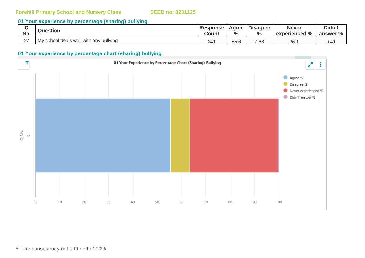#### **01 Your experience by percentage (sharing) bullying**

| No.           | Question                                | <b>Response</b><br>Count | Agree<br>$\frac{0}{0}$ | <b>Disagree</b><br>$\frac{0}{0}$ | <b>Never</b><br>experienced % | Didn't<br>answer % |
|---------------|-----------------------------------------|--------------------------|------------------------|----------------------------------|-------------------------------|--------------------|
| $\sim$<br>- 1 | My school deals well with any bullying. | 241                      | 55.6                   | 7.88                             | 36.                           |                    |

#### **01 Your experience by percentage chart (sharing) bullying**



5 | responses may not add up to 100%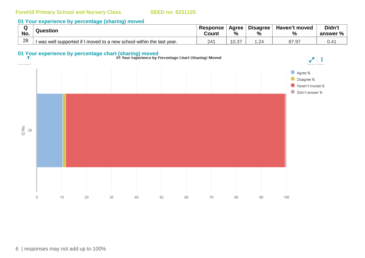| No. | Question                                                              | <b>Response</b><br>Count | Agree<br>%     | <b>Disagree</b><br>$\frac{0}{0}$ | Haven't moved<br>$\mathbf{0}$<br>70 | Didn't<br>answer % |
|-----|-----------------------------------------------------------------------|--------------------------|----------------|----------------------------------|-------------------------------------|--------------------|
| 28  | I was well supported if I moved to a new school within the last year. | 24'                      | $\sim$<br>U.31 |                                  | 87.97                               | J.4                |

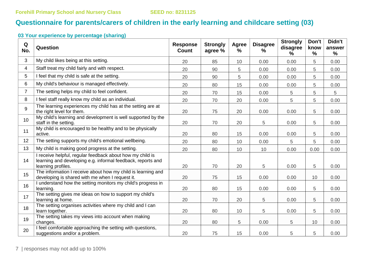## **Questionnaire for parents/carers of children in the early learning and childcare setting (03)**

| Q<br>No.       | Question                                                                                                                                       | <b>Response</b><br><b>Count</b> | <b>Strongly</b><br>agree % | Agree<br>% | <b>Disagree</b><br>$\%$ | <b>Strongly</b><br>disagree<br>$\%$ | Don't<br>know<br>$\frac{0}{0}$ | Didn't<br>answer<br>$\%$ |
|----------------|------------------------------------------------------------------------------------------------------------------------------------------------|---------------------------------|----------------------------|------------|-------------------------|-------------------------------------|--------------------------------|--------------------------|
| 3              | My child likes being at this setting.                                                                                                          | 20                              | 85                         | 10         | 0.00                    | 0.00                                | 5                              | 0.00                     |
| 4              | Staff treat my child fairly and with respect.                                                                                                  | 20                              | 90                         | 5          | 0.00                    | 0.00                                | 5                              | 0.00                     |
| 5              | I feel that my child is safe at the setting.                                                                                                   | 20                              | 90                         | 5          | 0.00                    | 0.00                                | 5                              | 0.00                     |
| 6              | My child's behaviour is managed effectively.                                                                                                   | 20                              | 80                         | 15         | 0.00                    | 0.00                                | 5                              | 0.00                     |
| $\overline{7}$ | The setting helps my child to feel confident.                                                                                                  | 20                              | 70                         | 15         | 0.00                    | 5                                   | 5                              | 5                        |
| 8              | I feel staff really know my child as an individual.                                                                                            | 20                              | 70                         | 20         | 0.00                    | 5                                   | 5                              | 0.00                     |
| 9              | The learning experiences my child has at the setting are at<br>the right level for them.                                                       | 20                              | 75                         | 20         | 0.00                    | 0.00                                | 5                              | 0.00                     |
| 10             | My child's learning and development is well supported by the<br>staff in the setting.                                                          | 20                              | 70                         | 20         | 5                       | 0.00                                | 5                              | 0.00                     |
| 11             | My child is encouraged to be healthy and to be physically<br>active.                                                                           | 20                              | 80                         | 15         | 0.00                    | 0.00                                | 5                              | 0.00                     |
| 12             | The setting supports my child's emotional wellbeing.                                                                                           | 20                              | 80                         | 10         | 0.00                    | 5                                   | 5                              | 0.00                     |
| 13             | My child is making good progress at the setting.                                                                                               | 20                              | 80                         | 10         | 10                      | 0.00                                | 0.00                           | 0.00                     |
| 14             | I receive helpful, regular feedback about how my child is<br>learning and developing e.g. informal feedback, reports and<br>learning profiles. | 20                              | 70                         | 20         | 5                       | 0.00                                | 5                              | 0.00                     |
| 15             | The information I receive about how my child is learning and<br>developing is shared with me when I request it.                                | 20                              | 75                         | 15         | 0.00                    | 0.00                                | 10                             | 0.00                     |
| 16             | I understand how the setting monitors my child's progress in<br>learning.                                                                      | 20                              | 80                         | 15         | 0.00                    | 0.00                                | 5                              | 0.00                     |
| 17             | The setting gives me ideas on how to support my child's<br>learning at home.                                                                   | 20                              | 70                         | 20         | 5                       | 0.00                                | 5                              | 0.00                     |
| 18             | The setting organises activities where my child and I can<br>learn together.                                                                   | 20                              | 80                         | 10         | 5                       | 0.00                                | 5                              | 0.00                     |
| 19             | The setting takes my views into account when making<br>changes.                                                                                | 20                              | 80                         | 5          | 0.00                    | 5                                   | 10                             | 0.00                     |
| 20             | I feel comfortable approaching the setting with questions,<br>suggestions and/or a problem.                                                    | 20                              | 75                         | 15         | 0.00                    | 5                                   | 5                              | 0.00                     |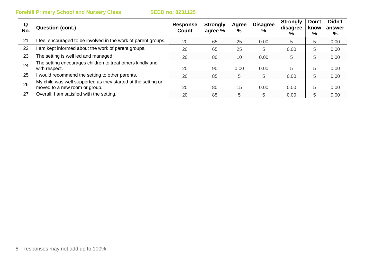| Q<br>No. | Question (cont.)                                                                               | <b>Response</b><br>Count | <b>Strongly</b><br>agree % | Agree<br>$\%$ | <b>Disagree</b><br>$\frac{0}{0}$ | <b>Strongly</b><br>disagree<br>% | Don't<br>know<br>% | Didn't<br>answer<br>% |
|----------|------------------------------------------------------------------------------------------------|--------------------------|----------------------------|---------------|----------------------------------|----------------------------------|--------------------|-----------------------|
| 21       | feel encouraged to be involved in the work of parent groups.                                   | 20                       | 65                         | 25            | 0.00                             | 5                                | 5                  | 0.00                  |
| 22       | am kept informed about the work of parent groups.                                              | 20                       | 65                         | 25            | 5                                | 0.00                             | 5                  | 0.00                  |
| 23       | The setting is well led and managed.                                                           | 20                       | 80                         | 10            | 0.00                             | 5                                | 5                  | 0.00                  |
| 24       | The setting encourages children to treat others kindly and<br>with respect.                    | 20                       | 90                         | 0.00          | 0.00                             | 5                                | 5                  | 0.00                  |
| 25       | would recommend the setting to other parents.                                                  | 20                       | 85                         | 5             | 5                                | 0.00                             | 5                  | 0.00                  |
| 26       | My child was well supported as they started at the setting or<br>moved to a new room or group. | 20                       | 80                         | 15            | 0.00                             | 0.00                             | 5                  | 0.00                  |
| 27       | Overall, I am satisfied with the setting.                                                      | 20                       | 85                         | 5             | 5                                | 0.00                             | 5                  | 0.00                  |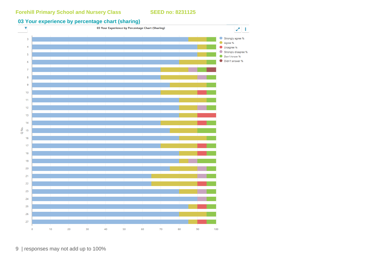

9 | responses may not add up to 100%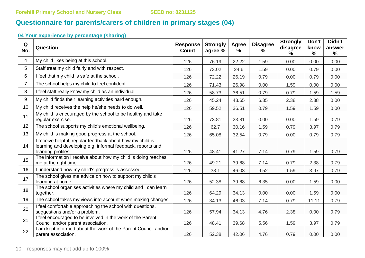# **Questionnaire for parents/carers of children in primary stages (04)**

| Q<br>No.       | Question                                                                                                                                       | <b>Response</b><br><b>Count</b> | <b>Strongly</b><br>agree % | <b>Agree</b><br>% | <b>Disagree</b><br>% | <b>Strongly</b><br>disagree<br>$\%$ | Don't<br>know<br>$\%$ | Didn't<br>answer<br>% |
|----------------|------------------------------------------------------------------------------------------------------------------------------------------------|---------------------------------|----------------------------|-------------------|----------------------|-------------------------------------|-----------------------|-----------------------|
| 4              | My child likes being at this school.                                                                                                           | 126                             | 76.19                      | 22.22             | 1.59                 | 0.00                                | 0.00                  | 0.00                  |
| 5              | Staff treat my child fairly and with respect.                                                                                                  | 126                             | 73.02                      | 24.6              | 1.59                 | 0.00                                | 0.79                  | 0.00                  |
| 6              | I feel that my child is safe at the school.                                                                                                    | 126                             | 72.22                      | 26.19             | 0.79                 | 0.00                                | 0.79                  | 0.00                  |
| $\overline{7}$ | The school helps my child to feel confident.                                                                                                   | 126                             | 71.43                      | 26.98             | 0.00                 | 1.59                                | 0.00                  | 0.00                  |
| 8              | I feel staff really know my child as an individual.                                                                                            | 126                             | 58.73                      | 36.51             | 0.79                 | 0.79                                | 1.59                  | 1.59                  |
| 9              | My child finds their learning activities hard enough.                                                                                          | 126                             | 45.24                      | 43.65             | 6.35                 | 2.38                                | 2.38                  | 0.00                  |
| 10             | My child receives the help he/she needs to do well.                                                                                            | 126                             | 59.52                      | 36.51             | 0.79                 | 1.59                                | 1.59                  | 0.00                  |
| 11             | My child is encouraged by the school to be healthy and take<br>regular exercise.                                                               | 126                             | 73.81                      | 23.81             | 0.00                 | 0.00                                | 1.59                  | 0.79                  |
| 12             | The school supports my child's emotional wellbeing.                                                                                            | 126                             | 62.7                       | 30.16             | 1.59                 | 0.79                                | 3.97                  | 0.79                  |
| 13             | My child is making good progress at the school.                                                                                                | 126                             | 65.08                      | 32.54             | 0.79                 | 0.00                                | 0.79                  | 0.79                  |
| 14             | I receive helpful, regular feedback about how my child is<br>learning and developing e.g. informal feedback, reports and<br>learning profiles. | 126                             | 48.41                      | 41.27             | 7.14                 | 0.79                                | 1.59                  | 0.79                  |
| 15             | The information I receive about how my child is doing reaches<br>me at the right time.                                                         | 126                             | 49.21                      | 39.68             | 7.14                 | 0.79                                | 2.38                  | 0.79                  |
| 16             | I understand how my child's progress is assessed.                                                                                              | 126                             | 38.1                       | 46.03             | 9.52                 | 1.59                                | 3.97                  | 0.79                  |
| 17             | The school gives me advice on how to support my child's<br>learning at home.                                                                   | 126                             | 52.38                      | 39.68             | 6.35                 | 0.00                                | 1.59                  | 0.00                  |
| 18             | The school organises activities where my child and I can learn<br>together.                                                                    | 126                             | 64.29                      | 34.13             | 0.00                 | 0.00                                | 1.59                  | 0.00                  |
| 19             | The school takes my views into account when making changes.                                                                                    | 126                             | 34.13                      | 46.03             | 7.14                 | 0.79                                | 11.11                 | 0.79                  |
| 20             | I feel comfortable approaching the school with questions,<br>suggestions and/or a problem.                                                     | 126                             | 57.94                      | 34.13             | 4.76                 | 2.38                                | 0.00                  | 0.79                  |
| 21             | I feel encouraged to be involved in the work of the Parent<br>Council and/or parent association.                                               | 126                             | 48.41                      | 39.68             | 5.56                 | 1.59                                | 3.97                  | 0.79                  |
| 22             | I am kept informed about the work of the Parent Council and/or<br>parent association.                                                          | 126                             | 52.38                      | 42.06             | 4.76                 | 0.79                                | 0.00                  | 0.00                  |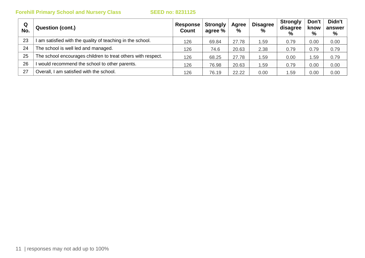| Q<br>No. | <b>Question (cont.)</b>                                      | Response  <br><b>Count</b> | <b>Strongly</b><br>agree % | Agree<br>$\%$ | <b>Disagree</b><br>$\%$ | <b>Strongly</b><br>disagree<br>$\%$ | Don't<br>know<br>% | Didn't<br>answer<br>% |
|----------|--------------------------------------------------------------|----------------------------|----------------------------|---------------|-------------------------|-------------------------------------|--------------------|-----------------------|
| 23       | am satisfied with the quality of teaching in the school.     | 126                        | 69.84                      | 27.78         | 1.59                    | 0.79                                | 0.00               | 0.00                  |
| 24       | The school is well led and managed.                          | 126                        | 74.6                       | 20.63         | 2.38                    | 0.79                                | 0.79               | 0.79                  |
| 25       | The school encourages children to treat others with respect. | 126                        | 68.25                      | 27.78         | .59                     | 0.00                                | . .59              | 0.79                  |
| 26       | would recommend the school to other parents.                 | 126                        | 76.98                      | 20.63         | .59                     | 0.79                                | 0.00               | 0.00                  |
| 27       | Overall, I am satisfied with the school.                     | 126                        | 76.19                      | 22.22         | 0.00                    | 1.59                                | 0.00               | 0.00                  |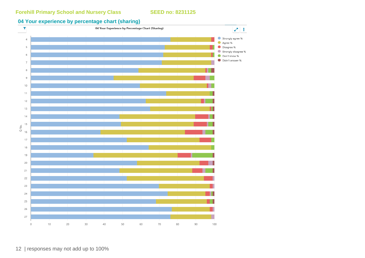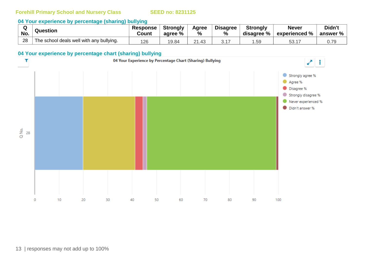#### **04 Your experience by percentage (sharing) bullying**

|     | Question                                 | <b>Response</b> | <b>Strongly</b> | Agree             | <b>Disagree</b> | <b>Strongly</b> | <b>Never</b>             | Didn't                  |
|-----|------------------------------------------|-----------------|-----------------|-------------------|-----------------|-----------------|--------------------------|-------------------------|
| No. |                                          | Count           | aqree %         | %                 | ℅               | disagree %      | $^{\circ}$ experienced % | answer $\%$ $\parallel$ |
| 28  | The school deals well with any bullying. | 126             | 19.84           | $\Omega$<br>21.43 |                 | .59             | E O<br>JJ. 1             | 0.79                    |

#### **04 Your experience by percentage chart (sharing) bullying**

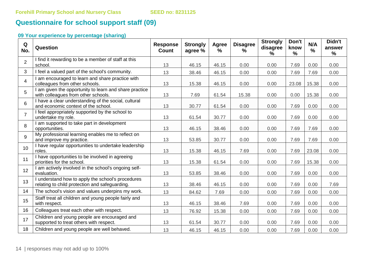# **Questionnaire for school support staff (09)**

| Q<br>No.       | Question                                                                                            | <b>Response</b><br><b>Count</b> | <b>Strongly</b><br>agree % | Agree<br>% | <b>Disagree</b><br>% | <b>Strongly</b><br>disagree<br>$\frac{9}{6}$ | Don't<br>know<br>$\%$ | N/A<br>$\%$ | Didn't<br>answer<br>$\frac{9}{6}$ |
|----------------|-----------------------------------------------------------------------------------------------------|---------------------------------|----------------------------|------------|----------------------|----------------------------------------------|-----------------------|-------------|-----------------------------------|
| $\overline{2}$ | I find it rewarding to be a member of staff at this<br>school.                                      | 13                              | 46.15                      | 46.15      | 0.00                 | 0.00                                         | 7.69                  | 0.00        | 0.00                              |
| 3              | I feel a valued part of the school's community.                                                     | 13                              | 38.46                      | 46.15      | 0.00                 | 0.00                                         | 7.69                  | 7.69        | 0.00                              |
| $\overline{4}$ | I am encouraged to learn and share practice with<br>colleagues from other schools.                  | 13                              | 15.38                      | 46.15      | 0.00                 | 0.00                                         | 23.08                 | 15.38       | 0.00                              |
| 5              | I am given the opportunity to learn and share practice<br>with colleagues from other schools.       | 13                              | 7.69                       | 61.54      | 15.38                | 0.00                                         | 0.00                  | 15.38       | 0.00                              |
| 6              | I have a clear understanding of the social, cultural<br>and economic context of the school.         | 13                              | 30.77                      | 61.54      | 0.00                 | 0.00                                         | 7.69                  | 0.00        | 0.00                              |
| $\overline{7}$ | I feel appropriately supported by the school to<br>undertake my role.                               | 13                              | 61.54                      | 30.77      | 0.00                 | 0.00                                         | 7.69                  | 0.00        | 0.00                              |
| 8              | I am supported to take part in development<br>opportunities.                                        | 13                              | 46.15                      | 38.46      | 0.00                 | 0.00                                         | 7.69                  | 7.69        | 0.00                              |
| 9              | My professional learning enables me to reflect on<br>and improve my practice.                       | 13                              | 53.85                      | 30.77      | 0.00                 | 0.00                                         | 7.69                  | 7.69        | 0.00                              |
| 10             | I have regular opportunities to undertake leadership<br>roles.                                      | 13                              | 15.38                      | 46.15      | 7.69                 | 0.00                                         | 7.69                  | 23.08       | 0.00                              |
| 11             | I have opportunities to be involved in agreeing<br>priorities for the school.                       | 13                              | 15.38                      | 61.54      | 0.00                 | 0.00                                         | 7.69                  | 15.38       | 0.00                              |
| 12             | I am actively involved in the school's ongoing self-<br>evaluation.                                 | 13                              | 53.85                      | 38.46      | 0.00                 | 0.00                                         | 7.69                  | 0.00        | 0.00                              |
| 13             | I understand how to apply the school's procedures<br>relating to child protection and safeguarding. | 13                              | 38.46                      | 46.15      | 0.00                 | 0.00                                         | 7.69                  | 0.00        | 7.69                              |
| 14             | The school's vision and values underpins my work.                                                   | 13                              | 84.62                      | 7.69       | 0.00                 | 0.00                                         | 7.69                  | 0.00        | 0.00                              |
| 15             | Staff treat all children and young people fairly and<br>with respect.                               | 13                              | 46.15                      | 38.46      | 7.69                 | 0.00                                         | 7.69                  | 0.00        | 0.00                              |
| 16             | Colleagues treat each other with respect.                                                           | 13                              | 76.92                      | 15.38      | 0.00                 | 0.00                                         | 7.69                  | 0.00        | 0.00                              |
| 17             | Children and young people are encouraged and<br>supported to treat others with respect.             | 13                              | 61.54                      | 30.77      | 0.00                 | 0.00                                         | 7.69                  | 0.00        | 0.00                              |
| 18             | Children and young people are well behaved.                                                         | 13                              | 46.15                      | 46.15      | 0.00                 | 0.00                                         | 7.69                  | 0.00        | 0.00                              |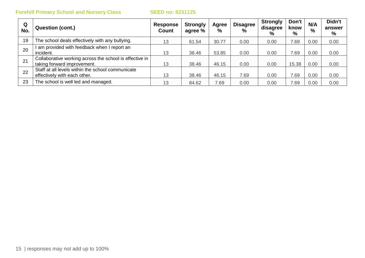| Q<br>No. | <b>Question (cont.)</b>                                                                | <b>Response</b><br>Count | <b>Strongly</b><br>agree % | Agree<br>% | <b>Disagree</b><br>$\%$ | <b>Strongly</b><br>disagree<br>% | Don't<br>know<br>% | N/A<br>$\%$ | Didn't<br>answer<br>% |
|----------|----------------------------------------------------------------------------------------|--------------------------|----------------------------|------------|-------------------------|----------------------------------|--------------------|-------------|-----------------------|
| 19       | The school deals effectively with any bullying.                                        | 13                       | 61.54                      | 30.77      | 0.00                    | 0.00                             | 7.69               | 0.00        | 0.00                  |
| 20       | am provided with feedback when I report an<br>incident.                                | 13                       | 38.46                      | 53.85      | 0.00                    | 0.00                             | 7.69               | 0.00        | 0.00                  |
| 21       | Collaborative working across the school is effective in<br>taking forward improvement. | 13                       | 38.46                      | 46.15      | 0.00                    | 0.00                             | 15.38              | 0.00        | 0.00                  |
| 22       | Staff at all levels within the school communicate<br>effectively with each other.      | 13                       | 38.46                      | 46.15      | 7.69                    | 0.00                             | 7.69               | 0.00        | 0.00                  |
| 23       | The school is well led and managed.                                                    | 13                       | 84.62                      | 7.69       | 0.00                    | 0.00                             | 7.69               | 0.00        | 0.00                  |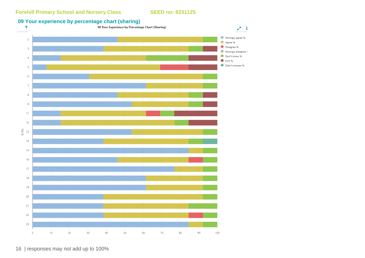# **09 Your experience by percentage chart (sharing)**<br> **1** O9 Your Experience by Percentage Chart (Sharing)



16 | responses may not add up to 100%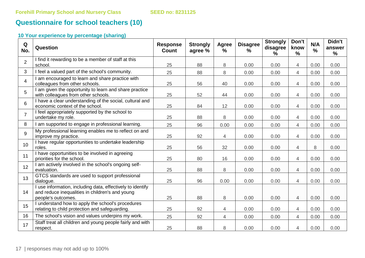## **Questionnaire for school teachers (10)**

| Q<br>No.       | Question                                                                                                                            | <b>Response</b><br><b>Count</b> | <b>Strongly</b><br>agree % | Agree<br>$\frac{0}{0}$ | <b>Disagree</b><br>$\%$ | <b>Strongly</b><br>disagree<br>% | Don't<br>know<br>$\frac{9}{6}$ | N/A<br>$\frac{0}{0}$ | Didn't<br>answer<br>% |
|----------------|-------------------------------------------------------------------------------------------------------------------------------------|---------------------------------|----------------------------|------------------------|-------------------------|----------------------------------|--------------------------------|----------------------|-----------------------|
| $\overline{2}$ | I find it rewarding to be a member of staff at this<br>school.                                                                      | 25                              | 88                         | 8                      | 0.00                    | 0.00                             | $\overline{4}$                 | 0.00                 | 0.00                  |
| $\mathbf{3}$   | I feel a valued part of the school's community.                                                                                     | 25                              | 88                         | 8                      | 0.00                    | 0.00                             | $\overline{4}$                 | 0.00                 | 0.00                  |
| $\overline{4}$ | I am encouraged to learn and share practice with<br>colleagues from other schools.                                                  | 25                              | 56                         | 40                     | 0.00                    | 0.00                             | $\overline{4}$                 | 0.00                 | 0.00                  |
| 5              | I am given the opportunity to learn and share practice<br>with colleagues from other schools.                                       | 25                              | 52                         | 44                     | 0.00                    | 0.00                             | $\overline{4}$                 | 0.00                 | 0.00                  |
| $6\phantom{1}$ | I have a clear understanding of the social, cultural and<br>economic context of the school.                                         | 25                              | 84                         | 12                     | 0.00                    | 0.00                             | $\overline{4}$                 | 0.00                 | 0.00                  |
| $\overline{7}$ | I feel appropriately supported by the school to<br>undertake my role.                                                               | 25                              | 88                         | 8                      | 0.00                    | 0.00                             | $\overline{4}$                 | 0.00                 | 0.00                  |
| 8              | I am supported to engage in professional learning.                                                                                  | 25                              | 96                         | 0.00                   | 0.00                    | 0.00                             | 4                              | 0.00                 | 0.00                  |
| 9              | My professional learning enables me to reflect on and<br>improve my practice.                                                       | 25                              | 92                         | 4                      | 0.00                    | 0.00                             | 4                              | 0.00                 | 0.00                  |
| 10             | I have regular opportunities to undertake leadership<br>roles.                                                                      | 25                              | 56                         | 32                     | 0.00                    | 0.00                             | $\overline{4}$                 | 8                    | 0.00                  |
| 11             | I have opportunities to be involved in agreeing<br>priorities for the school.                                                       | 25                              | 80                         | 16                     | 0.00                    | 0.00                             | $\overline{4}$                 | 0.00                 | 0.00                  |
| 12             | I am actively involved in the school's ongoing self-<br>evaluation.                                                                 | 25                              | 88                         | 8                      | 0.00                    | 0.00                             | $\overline{4}$                 | 0.00                 | 0.00                  |
| 13             | GTCS standards are used to support professional<br>dialogue.                                                                        | 25                              | 96                         | 0.00                   | 0.00                    | 0.00                             | $\overline{4}$                 | 0.00                 | 0.00                  |
| 14             | I use information, including data, effectively to identify<br>and reduce inequalities in children's and young<br>people's outcomes. | 25                              | 88                         | 8                      | 0.00                    | 0.00                             | $\overline{4}$                 | 0.00                 | 0.00                  |
| 15             | I understand how to apply the school's procedures<br>relating to child protection and safeguarding.                                 | 25                              | 92                         | $\overline{4}$         | 0.00                    | 0.00                             | $\overline{4}$                 | 0.00                 | 0.00                  |
| 16             | The school's vision and values underpins my work.                                                                                   | 25                              | 92                         | $\overline{4}$         | 0.00                    | 0.00                             | 4                              | 0.00                 | 0.00                  |
| 17             | Staff treat all children and young people fairly and with<br>respect.                                                               | 25                              | 88                         | 8                      | 0.00                    | 0.00                             | 4                              | 0.00                 | 0.00                  |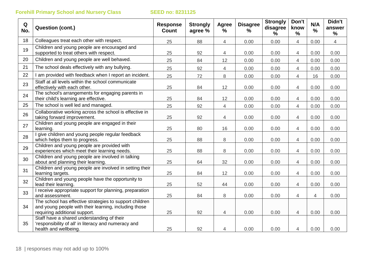| Q<br>No. | <b>Question (cont.)</b>                                                                                                                           | <b>Response</b><br><b>Count</b> | <b>Strongly</b><br>agree % | <b>Agree</b><br>$\frac{1}{2}$ | <b>Disagree</b><br>% | <b>Strongly</b><br>disagree<br>$\frac{9}{6}$ | Don't<br>know<br>$\frac{0}{0}$ | N/A<br>$\frac{1}{2}$ | Didn't<br>answer<br>% |
|----------|---------------------------------------------------------------------------------------------------------------------------------------------------|---------------------------------|----------------------------|-------------------------------|----------------------|----------------------------------------------|--------------------------------|----------------------|-----------------------|
| 18       | Colleagues treat each other with respect.                                                                                                         | 25                              | 88                         | $\overline{4}$                | 0.00                 | 0.00                                         | $\overline{4}$                 | 0.00                 | $\overline{4}$        |
| 19       | Children and young people are encouraged and<br>supported to treat others with respect.                                                           | 25                              | 92                         | 4                             | 0.00                 | 0.00                                         | $\overline{4}$                 | 0.00                 | 0.00                  |
| 20       | Children and young people are well behaved.                                                                                                       | 25                              | 84                         | 12                            | 0.00                 | 0.00                                         | $\overline{4}$                 | 0.00                 | 0.00                  |
| 21       | The school deals effectively with any bullying.                                                                                                   | 25                              | 92                         | 4                             | 0.00                 | 0.00                                         | $\overline{4}$                 | 0.00                 | 0.00                  |
| 22       | I am provided with feedback when I report an incident.                                                                                            | 25                              | 72                         | 8                             | 0.00                 | 0.00                                         | $\overline{4}$                 | 16                   | 0.00                  |
| 23       | Staff at all levels within the school communicate<br>effectively with each other.                                                                 | 25                              | 84                         | 12                            | 0.00                 | 0.00                                         | $\overline{4}$                 | 0.00                 | 0.00                  |
| 24       | The school's arrangements for engaging parents in<br>their child's learning are effective.                                                        | 25                              | 84                         | 12                            | 0.00                 | 0.00                                         | $\overline{4}$                 | 0.00                 | 0.00                  |
| 25       | The school is well led and managed.                                                                                                               | 25                              | 92                         | $\overline{4}$                | 0.00                 | 0.00                                         | $\overline{4}$                 | 0.00                 | 0.00                  |
| 26       | Collaborative working across the school is effective in<br>taking forward improvement.                                                            | 25                              | 92                         | 4                             | 0.00                 | 0.00                                         | $\overline{4}$                 | 0.00                 | 0.00                  |
| 27       | Children and young people are engaged in their<br>learning.                                                                                       | 25                              | 80                         | 16                            | 0.00                 | 0.00                                         | 4                              | 0.00                 | 0.00                  |
| 28       | give children and young people regular feedback<br>which helps them to progress.                                                                  | 25                              | 88                         | 8                             | 0.00                 | 0.00                                         | $\overline{4}$                 | 0.00                 | 0.00                  |
| 29       | Children and young people are provided with<br>experiences which meet their learning needs.                                                       | 25                              | 88                         | 8                             | 0.00                 | 0.00                                         | $\overline{4}$                 | 0.00                 | 0.00                  |
| 30       | Children and young people are involved in talking<br>about and planning their learning.                                                           | 25                              | 64                         | 32                            | 0.00                 | 0.00                                         | $\overline{4}$                 | 0.00                 | 0.00                  |
| 31       | Children and young people are involved in setting their<br>learning targets.                                                                      | 25                              | 84                         | 12                            | 0.00                 | 0.00                                         | $\overline{4}$                 | 0.00                 | 0.00                  |
| 32       | Children and young people have the opportunity to<br>lead their learning.                                                                         | 25                              | 52                         | 44                            | 0.00                 | 0.00                                         | $\overline{4}$                 | 0.00                 | 0.00                  |
| 33       | I receive appropriate support for planning, preparation<br>and assessment.                                                                        | 25                              | 84                         | 8                             | 0.00                 | 0.00                                         | $\overline{4}$                 | $\overline{4}$       | 0.00                  |
| 34       | The school has effective strategies to support children<br>and young people with their learning, including those<br>requiring additional support. | 25                              | 92                         | 4                             | 0.00                 | 0.00                                         | $\overline{4}$                 | 0.00                 | 0.00                  |
| 35       | Staff have a shared understanding of their<br>'responsibility of all' in literacy and numeracy and<br>health and wellbeing.                       | 25                              | 92                         | 4                             | 0.00                 | 0.00                                         | 4                              | 0.00                 | 0.00                  |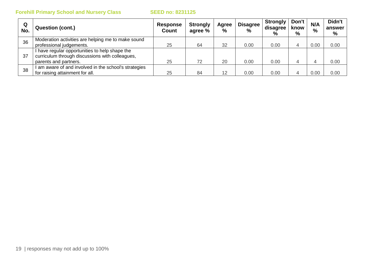| Q<br>No. | <b>Question (cont.)</b>                                                                           | <b>Response</b><br><b>Count</b> | <b>Strongly</b><br>agree % | Agree<br>$\frac{0}{0}$ | <b>Disagree</b><br>$\frac{0}{0}$ | <b>Strongly</b><br>disagree<br>$\%$ | Don't<br>know<br>% | N/A<br>$\frac{0}{0}$ | Didn't<br>answer<br>% |
|----------|---------------------------------------------------------------------------------------------------|---------------------------------|----------------------------|------------------------|----------------------------------|-------------------------------------|--------------------|----------------------|-----------------------|
| 36       | Moderation activities are helping me to make sound                                                |                                 |                            |                        |                                  |                                     |                    |                      |                       |
|          | professional judgements.                                                                          | 25                              | 64                         | 32                     | 0.00                             | 0.00                                |                    | 0.00                 | 0.00                  |
| 37       | I have regular opportunities to help shape the<br>curriculum through discussions with colleagues, |                                 |                            |                        |                                  |                                     |                    |                      |                       |
|          | parents and partners.                                                                             | 25                              | 72                         | 20                     | 0.00                             | 0.00                                |                    |                      | 0.00                  |
| 38       | I am aware of and involved in the school's strategies                                             |                                 |                            |                        |                                  |                                     |                    |                      |                       |
|          | for raising attainment for all.                                                                   | 25                              | 84                         | 12                     | 0.00                             | 0.00                                |                    | 0.00                 | 0.00                  |